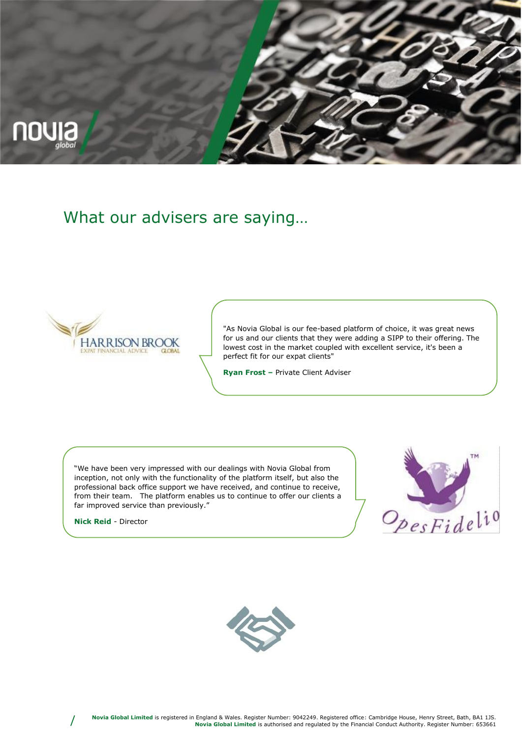

## What our advisers are saying…



"As Novia Global is our fee-based platform of choice, it was great news for us and our clients that they were adding a SIPP to their offering. The lowest cost in the market coupled with excellent service, it's been a perfect fit for our expat clients"

**Ryan Frost –** Private Client Adviser

"We have been very impressed with our dealings with Novia Global from inception, not only with the functionality of the platform itself, but also the professional back office support we have received, and continue to receive, from their team. The platform enables us to continue to offer our clients a far improved service than previously."

**Nick Reid** - Director

/



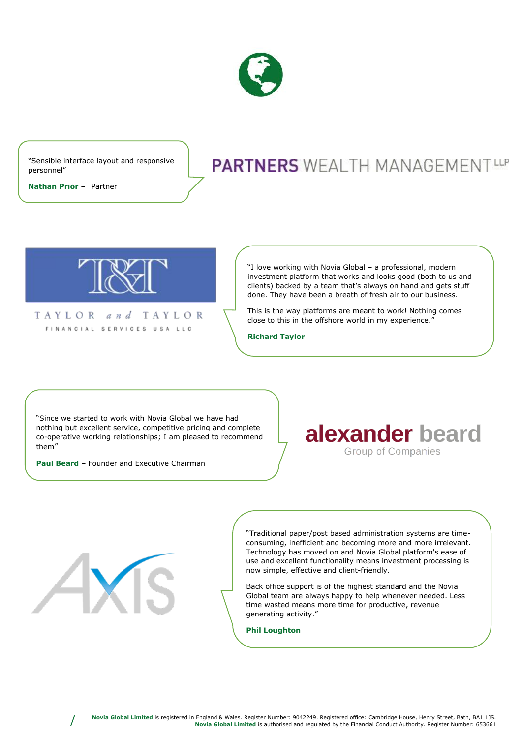

"Sensible interface layout and responsive personnel"

**Nathan Prior** – Partner

## **PARTNERS** WEALTH MANAGEMENTLLP



### TAYLOR and TAYLOR FINANCIAL SERVICES USA LLC

"I love working with Novia Global – a professional, modern investment platform that works and looks good (both to us and clients) backed by a team that's always on hand and gets stuff done. They have been a breath of fresh air to our business.

This is the way platforms are meant to work! Nothing comes close to this in the offshore world in my experience."

**Richard Taylor** 

"Since we started to work with Novia Global we have had nothing but excellent service, competitive pricing and complete co-operative working relationships; I am pleased to recommend them"

**Paul Beard** – Founder and Executive Chairman

/

# alexander beard

**Group of Companies** 

"Traditional paper/post based administration systems are timeconsuming, inefficient and becoming more and more irrelevant. Technology has moved on and Novia Global platform's ease of use and excellent functionality means investment processing is now simple, effective and client-friendly.

Back office support is of the highest standard and the Novia Global team are always happy to help whenever needed. Less time wasted means more time for productive, revenue generating activity."

**Phil Loughton**